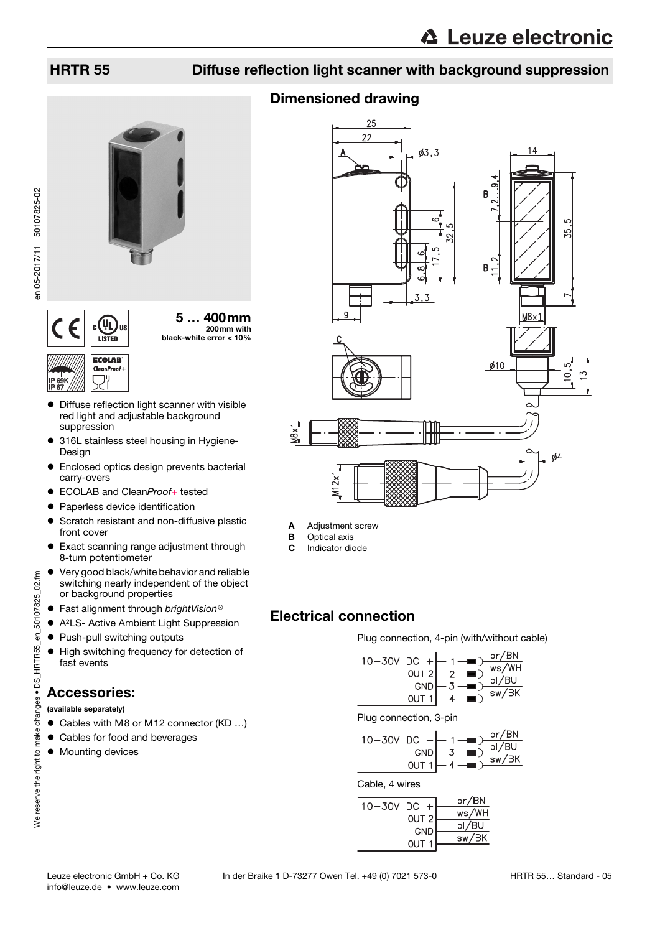## HRTR 55 Diffuse reflection light scanner with background suppression

## Dimensioned drawing



Plug connection, 4-pin (with/without cable)

 $\mathcal{D}$ 

 $-7$ 

 $\Delta$ 

 $\overline{3}$ 

 $4 -$ 

br/BN

 $ws/WH$ 

 $bI/BU$ 

 $\overline{\text{sw/BK}}$ 

br/BN

ws/WH

 $bl/BU$ 

sw/BK

br/BN

 $bI/BU$ 

 $sw/BK$ 

Plug connection, 3-pin

 $10 - 30V$  DC +

OUT<sub>2</sub>

OUT<sub>1</sub>

GND

GND

OUT<sub>1</sub>

OUT<sub>2</sub>

**GND** 

OUT<sub>1</sub>

 $10 - 30V$  DC +

Cable, 4 wires

 $10 - 30V$  DC +

en 05-2017/11 50107825-02 en 05-2017/11 50107825-02



 Diffuse reflection light scanner with visible red light and adjustable background suppression

5 … 400mm 200mm with

black-white error < 10%

- 316L stainless steel housing in Hygiene-Design
- Enclosed optics design prevents bacterial carry-overs
- ECOLAB and CleanProof+ tested<br>● Panerless device identification
- Paperless device identification
- **•** Scratch resistant and non-diffusive plastic front cover
- Exact scanning range adjustment through 8-turn potentiometer
- Very good black/white behavior and reliable switching nearly independent of the object or background properties
- Fast alignment through brightVision®
- A2LS- Active Ambient Light Suppression
- Push-pull switching outputs
- $\bullet$  High switching frequency for detection of fast events

## Accessories:

(available separately)

- Cables with M8 or M12 connector (KD ...)
- Cables for food and beverages
- $\bullet$  Mounting devices

A Adjustment screw **B** Optical axis C Indicator diode

Electrical connection

# We reserve the right to make changes . DS\_HRTR55\_en\_50107825\_02.fm We reserve the right to make changes • DS\_HRTR55\_en\_50107825\_02.fm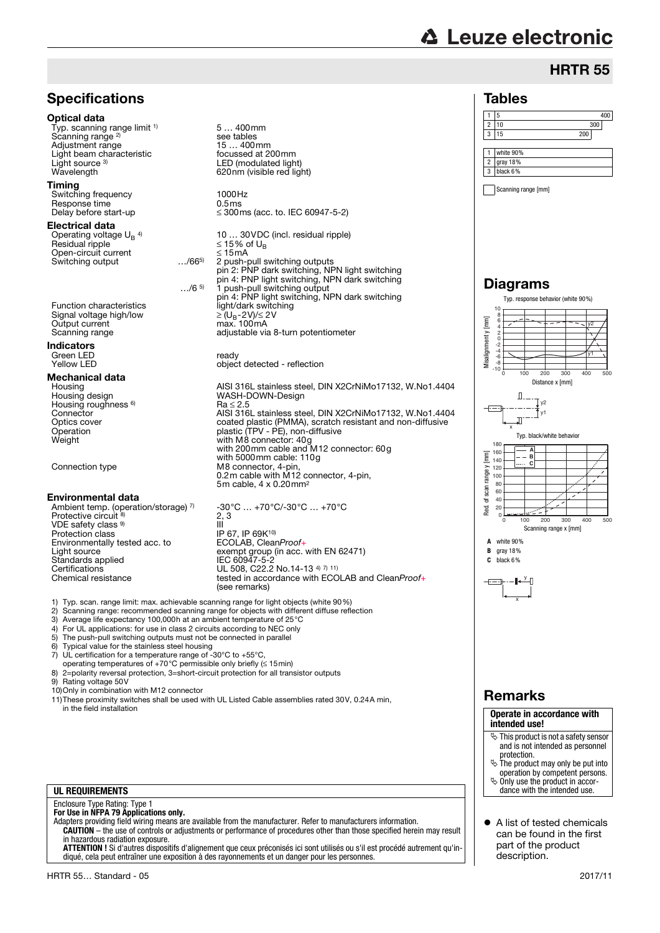# **△ Leuze electronic**

Tables

## HRTR 55



- 2) Scanning range: recommended scanning range for objects with different diffuse reflection
- 3) Average life expectancy 100,000h at an ambient temperature of 25°C
- 4) For UL applications: for use in class 2 circuits according to NEC only<br>5) The push-pull switching outputs must not be connected in parallel
- 5) The push-pull switching outputs must not be connected in parallel<br>6) Typical value for the stainless steel housing
- Typical value for the stainless steel housing
- 7) UL certification for a temperature range of -30°C to +55°C,
- operating temperatures of +70°C permissible only briefly (≤ 15min)
- 8) 2=polarity reversal protection, 3=short-circuit protection for all transistor outputs 9) Rating voltage 50V
- 10)Only in combination with M12 connector
- 11)These proximity switches shall be used with UL Listed Cable assemblies rated 30V, 0.24A min, in the field installation

## **UL REQUIREMENTS**

## Enclosure Type Rating: Type 1 **For Use in NFPA 79 Applications only.**

Adapters providing field wiring means are available from the manufacturer. Refer to manufacturers information. **CAUTION** – the use of controls or adjustments or performance of procedures other than those specified herein may result in hazardous radiation exposure.

**ATTENTION !** Si d'autres dispositifs d'alignement que ceux préconisés ici sont utilisés ou s'il est procédé autrement qu'indiqué, cela peut entraîner une exposition à des rayonnements et un danger pour les personnes.

## 1 white 90% 2 gray 18%  $3$  black 6% Scanning range [mm] Diagrams Typ. response behavior (white 90%) 10 8 6<br>4<br>-0<br>-10<br>-10 y2 y1 0 100 200 300 400 500 Distance x [mm]  $\mathbb{R}$ T v2  $f_{y1}$ J) x Typ. black/white behavior 180 160 **A** 140 **B C**  $120$ 100  $\overline{80}$  $60$  $40$  $\frac{1}{20}$  $\Omega$ 0 100 200 300 400 500 Scanning range x [mm] **A** white 90% **B** gray 18% **C** black 6% y x

## Remarks

### **Operate in accordance with intended use!**

- $\ddot{\phi}$  This product is not a safety sensor and is not intended as personnel protection.
- $\&$  The product may only be put into operation by competent persons. Only use the product in accor-
- dance with the intended use.
- A list of tested chemicals can be found in the first part of the product description.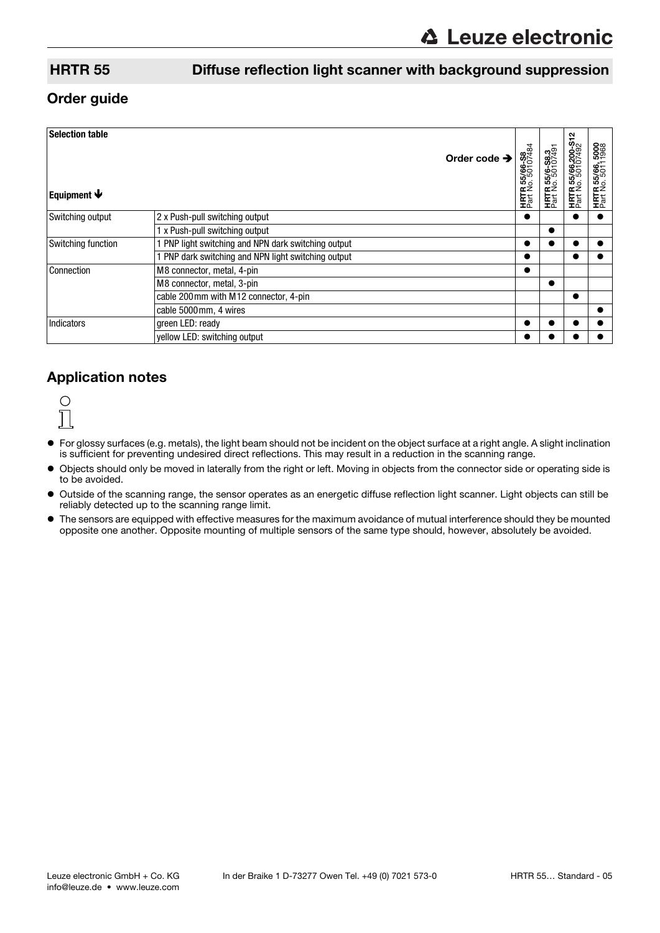## HRTR 55 Diffuse reflection light scanner with background suppression

## Order guide

| <b>Selection table</b><br>Equipment $\blacklozenge$ |                                                     | Order code $\rightarrow$ | <b>HRTR 55/66-S8</b><br>Part No. 50107484 | <b>HRTR 55/6-S8.3</b><br>Part No. 50107491 | <b>HRTR 55/66,200-S12</b><br>Part No. 50107492 | 5008<br>1968<br>$\overline{a}$<br><b>HRTR 55/66,</b><br>Part No. 5011 |
|-----------------------------------------------------|-----------------------------------------------------|--------------------------|-------------------------------------------|--------------------------------------------|------------------------------------------------|-----------------------------------------------------------------------|
| Switching output                                    | 2 x Push-pull switching output                      |                          |                                           |                                            |                                                |                                                                       |
|                                                     | 1 x Push-pull switching output                      |                          |                                           |                                            |                                                |                                                                       |
| Switching function                                  | PNP light switching and NPN dark switching output   |                          | 0                                         |                                            |                                                |                                                                       |
|                                                     | 1 PNP dark switching and NPN light switching output |                          | ●                                         |                                            |                                                |                                                                       |
| Connection                                          | M8 connector, metal, 4-pin                          |                          |                                           |                                            |                                                |                                                                       |
|                                                     | M8 connector, metal, 3-pin                          |                          |                                           | $\bullet$                                  |                                                |                                                                       |
|                                                     | cable 200 mm with M12 connector, 4-pin              |                          |                                           |                                            |                                                |                                                                       |
|                                                     | cable 5000mm, 4 wires                               |                          |                                           |                                            |                                                |                                                                       |
| <b>Indicators</b>                                   | green LED: ready                                    |                          |                                           |                                            |                                                |                                                                       |
|                                                     | yellow LED: switching output                        |                          | D                                         |                                            |                                                |                                                                       |

## Application notes



- For glossy surfaces (e.g. metals), the light beam should not be incident on the object surface at a right angle. A slight inclination is sufficient for preventing undesired direct reflections. This may result in a reduction in the scanning range.
- Objects should only be moved in laterally from the right or left. Moving in objects from the connector side or operating side is to be avoided.
- Outside of the scanning range, the sensor operates as an energetic diffuse reflection light scanner. Light objects can still be reliably detected up to the scanning range limit.
- The sensors are equipped with effective measures for the maximum avoidance of mutual interference should they be mounted opposite one another. Opposite mounting of multiple sensors of the same type should, however, absolutely be avoided.